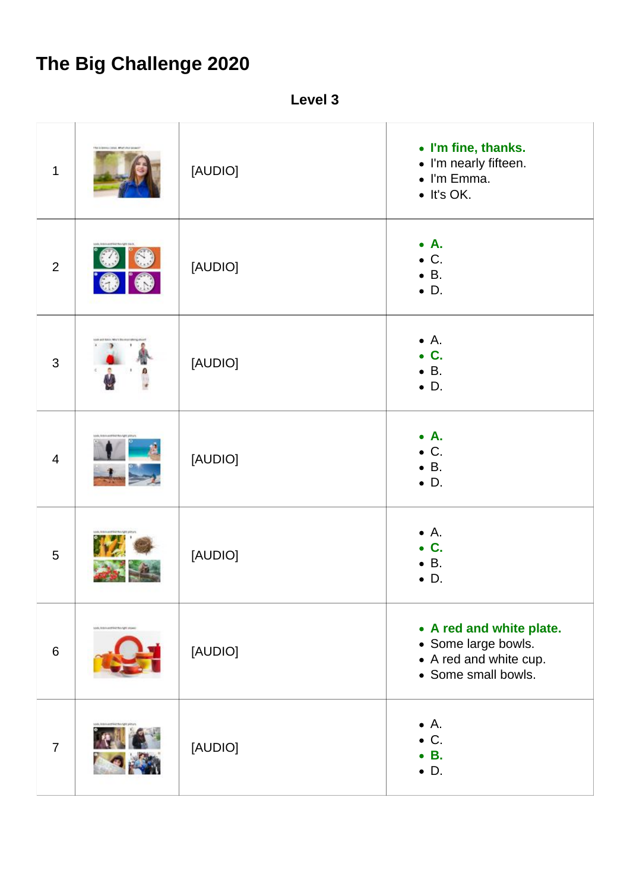## **The Big Challenge 2020**

**Level 3**

| $\mathbf 1$    |                                   | [AUDIO] | • I'm fine, thanks.<br>• I'm nearly fifteen.<br>• I'm Emma.<br>$\bullet$ It's OK.                |
|----------------|-----------------------------------|---------|--------------------------------------------------------------------------------------------------|
| $\overline{2}$ |                                   | [AUDIO] | $\bullet$ A.<br>$\bullet$ C.<br>$\bullet$ B.<br>$\bullet$ D.                                     |
| 3              |                                   | [AUDIO] | $\bullet$ A.<br>$\bullet$ C.<br>$\bullet$ B.<br>$\bullet$ D.                                     |
| $\overline{4}$ |                                   | [AUDIO] | $\bullet$ A.<br>$\bullet$ C.<br>$\bullet$ B.<br>$\bullet$ D.                                     |
| 5              | celled the cight pict             | [AUDIO] | $\bullet$ A.<br>$\bullet$ C.<br>$\bullet$ B.<br>$\bullet$ D.                                     |
| $6\,$          | ook, licitimaterial flangel prove | [AUDIO] | • A red and white plate.<br>• Some large bowls.<br>• A red and white cup.<br>• Some small bowls. |
| $\overline{7}$ |                                   | [AUDIO] | $\bullet$ A.<br>$\bullet$ C.<br>$\bullet$ B.<br>$\bullet$ D.                                     |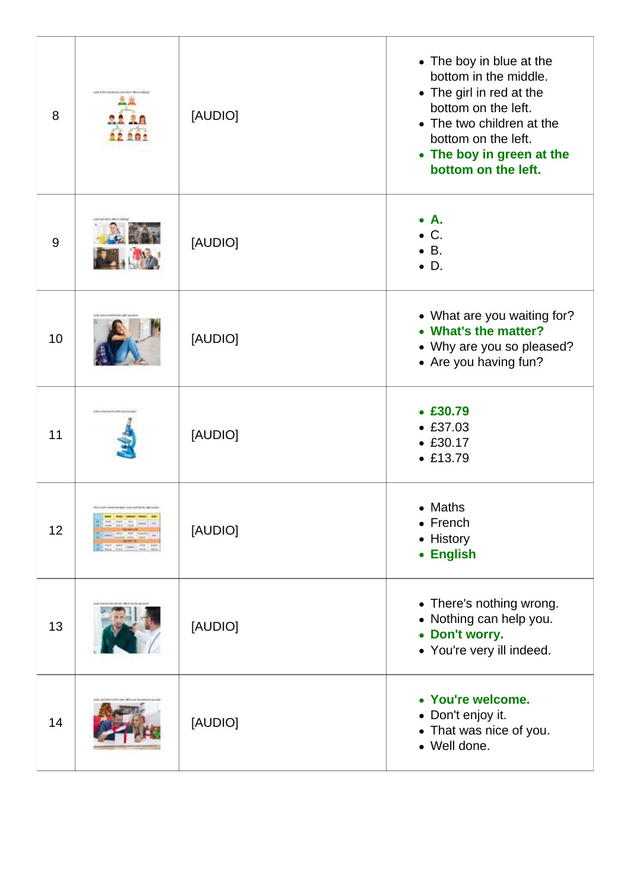| 8  | solid at this family his cash below. When to being? | [AUDIO] | • The boy in blue at the<br>bottom in the middle.<br>• The girl in red at the<br>bottom on the left.<br>• The two children at the<br>bottom on the left.<br>• The boy in green at the<br>bottom on the left. |
|----|-----------------------------------------------------|---------|--------------------------------------------------------------------------------------------------------------------------------------------------------------------------------------------------------------|
| 9  |                                                     | [AUDIO] | A.<br>$C$ .<br><b>B.</b><br>$\bullet$ D.                                                                                                                                                                     |
| 10 |                                                     | [AUDIO] | • What are you waiting for?<br>• What's the matter?<br>• Why are you so pleased?<br>• Are you having fun?                                                                                                    |
| 11 |                                                     | [AUDIO] | • E30.79<br>• E37.03<br>• E30.17<br>• £13.79                                                                                                                                                                 |
| 12 | their painters position considered by spinster      | [AUDIO] | • Maths<br>$\bullet$ French<br>History<br>$\bullet$<br><b>English</b><br>$\bullet$                                                                                                                           |
| 13 |                                                     | [AUDIO] | • There's nothing wrong.<br>Nothing can help you.<br>$\bullet$<br>Don't worry.<br>$\bullet$<br>• You're very ill indeed.                                                                                     |
| 14 |                                                     | [AUDIO] | • You're welcome.<br>Don't enjoy it.<br>$\bullet$<br>• That was nice of you.<br>• Well done.                                                                                                                 |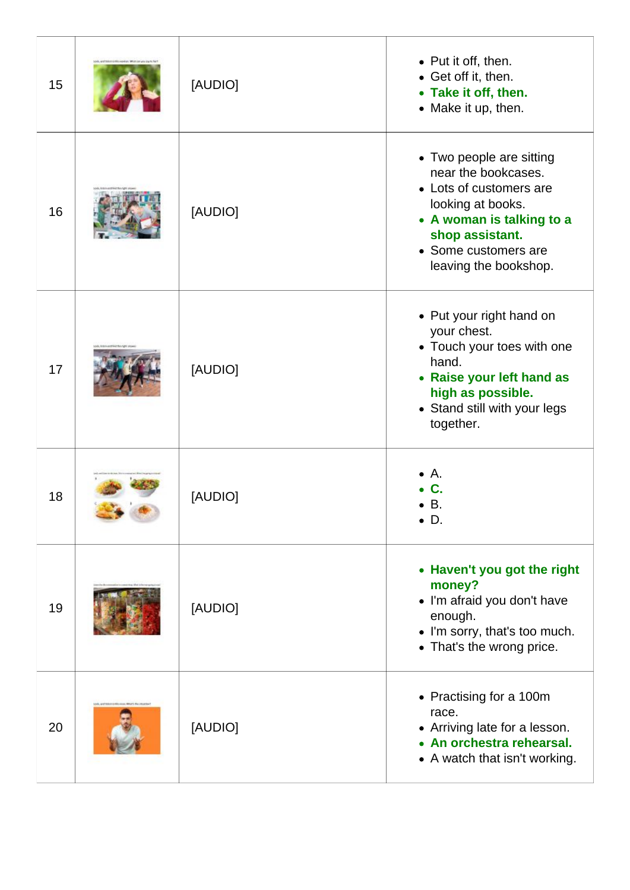| 15 | [AUDIO] | • Put it off, then.<br>• Get off it, then.<br>• Take it off, then.<br>• Make it up, then.                                                                                                        |
|----|---------|--------------------------------------------------------------------------------------------------------------------------------------------------------------------------------------------------|
| 16 | [AUDIO] | • Two people are sitting<br>near the bookcases.<br>• Lots of customers are<br>looking at books.<br>• A woman is talking to a<br>shop assistant.<br>• Some customers are<br>leaving the bookshop. |
| 17 | [AUDIO] | • Put your right hand on<br>your chest.<br>• Touch your toes with one<br>hand.<br>• Raise your left hand as<br>high as possible.<br>• Stand still with your legs<br>together.                    |
| 18 | [AUDIO] | Α.<br>Β.<br>$\bullet$ D.                                                                                                                                                                         |
| 19 | [AUDIO] | • Haven't you got the right<br>money?<br>• I'm afraid you don't have<br>enough.<br>I'm sorry, that's too much.<br>$\bullet$<br>• That's the wrong price.                                         |
| 20 | [AUDIO] | • Practising for a 100m<br>race.<br>• Arriving late for a lesson.<br>An orchestra rehearsal.<br>• A watch that isn't working.                                                                    |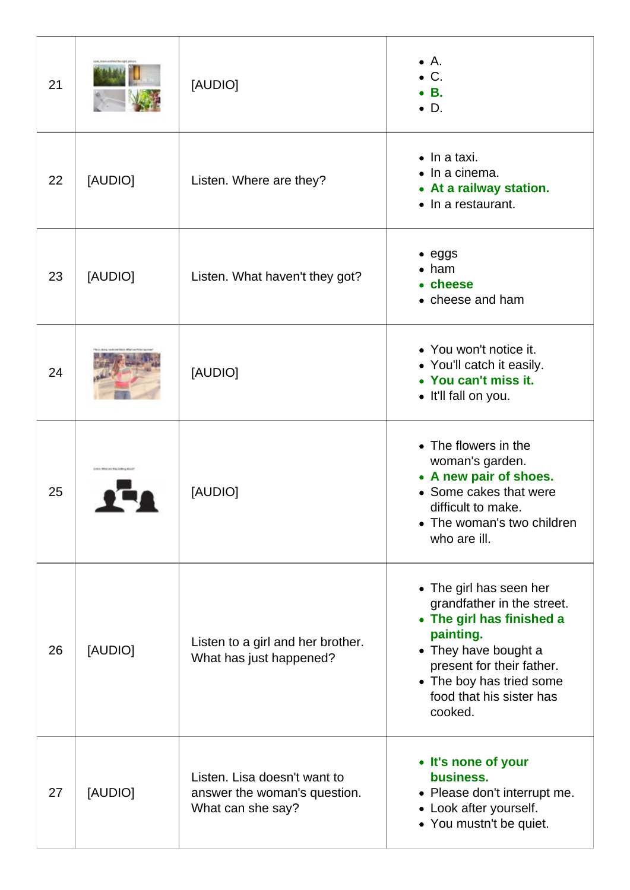| 21 |                                 | [AUDIO]                                                                           | A.<br>$\bullet$<br>$\bullet$ C.<br>$\bullet$ B.<br>D.<br>$\bullet$                                                                                                                                                      |
|----|---------------------------------|-----------------------------------------------------------------------------------|-------------------------------------------------------------------------------------------------------------------------------------------------------------------------------------------------------------------------|
| 22 | [AUDIO]                         | Listen. Where are they?                                                           | $\bullet$ In a taxi.<br>$\bullet$ In a cinema.<br>• At a railway station.<br>$\bullet$ In a restaurant.                                                                                                                 |
| 23 | [AUDIO]                         | Listen. What haven't they got?                                                    | $\bullet$ eggs<br>ham<br>cheese<br>• cheese and ham                                                                                                                                                                     |
| 24 |                                 | [AUDIO]                                                                           | • You won't notice it.<br>• You'll catch it easily.<br>• You can't miss it.<br>• It'll fall on you.                                                                                                                     |
| 25 | Eisten Missian this tolong dood | [AUDIO]                                                                           | • The flowers in the<br>woman's garden.<br>• A new pair of shoes.<br>• Some cakes that were<br>difficult to make.<br>• The woman's two children<br>who are ill.                                                         |
| 26 | [AUDIO]                         | Listen to a girl and her brother.<br>What has just happened?                      | • The girl has seen her<br>grandfather in the street.<br>• The girl has finished a<br>painting.<br>• They have bought a<br>present for their father.<br>• The boy has tried some<br>food that his sister has<br>cooked. |
| 27 | [AUDIO]                         | Listen. Lisa doesn't want to<br>answer the woman's question.<br>What can she say? | • It's none of your<br>business.<br>• Please don't interrupt me.<br>• Look after yourself.<br>• You mustn't be quiet.                                                                                                   |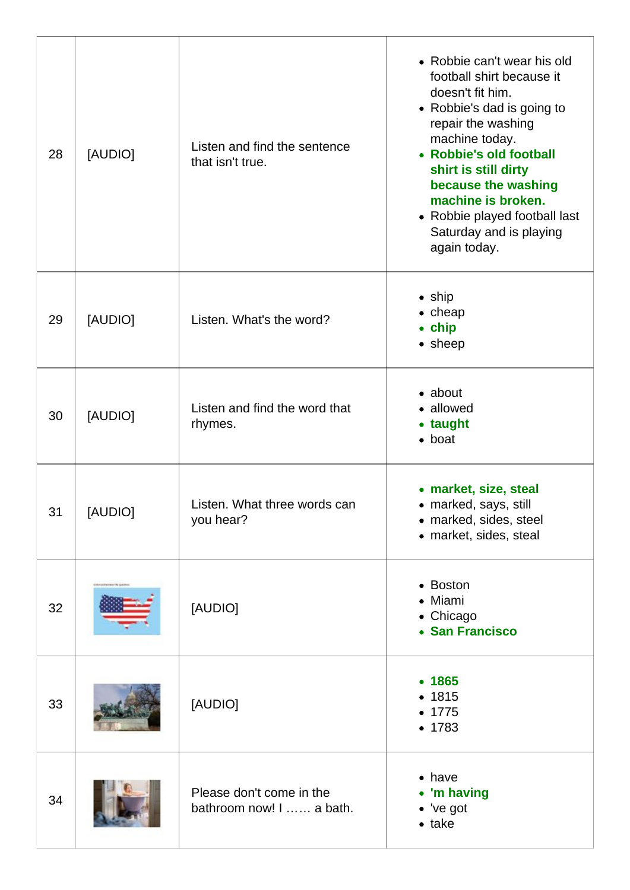| 28 | [AUDIO] | Listen and find the sentence<br>that isn't true.     | • Robbie can't wear his old<br>football shirt because it<br>doesn't fit him.<br>• Robbie's dad is going to<br>repair the washing<br>machine today.<br><b>Robbie's old football</b><br>$\bullet$<br>shirt is still dirty<br>because the washing<br>machine is broken.<br>• Robbie played football last<br>Saturday and is playing<br>again today. |
|----|---------|------------------------------------------------------|--------------------------------------------------------------------------------------------------------------------------------------------------------------------------------------------------------------------------------------------------------------------------------------------------------------------------------------------------|
| 29 | [AUDIO] | Listen. What's the word?                             | $\bullet$ ship<br>$\bullet$ cheap<br>$\bullet$ chip<br>$\bullet$ sheep                                                                                                                                                                                                                                                                           |
| 30 | [AUDIO] | Listen and find the word that<br>rhymes.             | $\bullet$ about<br>• allowed<br>• taught<br>$\bullet$ boat                                                                                                                                                                                                                                                                                       |
| 31 | [AUDIO] | Listen. What three words can<br>you hear?            | • market, size, steal<br>• marked, says, still<br>· marked, sides, steel<br>• market, sides, steal                                                                                                                                                                                                                                               |
| 32 |         | [AUDIO]                                              | • Boston<br>Miami<br>$\bullet$<br>Chicago<br>$\bullet$<br><b>San Francisco</b>                                                                                                                                                                                                                                                                   |
| 33 |         | [AUDIO]                                              | • 1865<br>1815<br>1775<br>• 1783                                                                                                                                                                                                                                                                                                                 |
| 34 |         | Please don't come in the<br>bathroom now! I  a bath. | $\bullet$ have<br>'m having<br>$\bullet$<br>$\bullet$ 've got<br>$\bullet$ take                                                                                                                                                                                                                                                                  |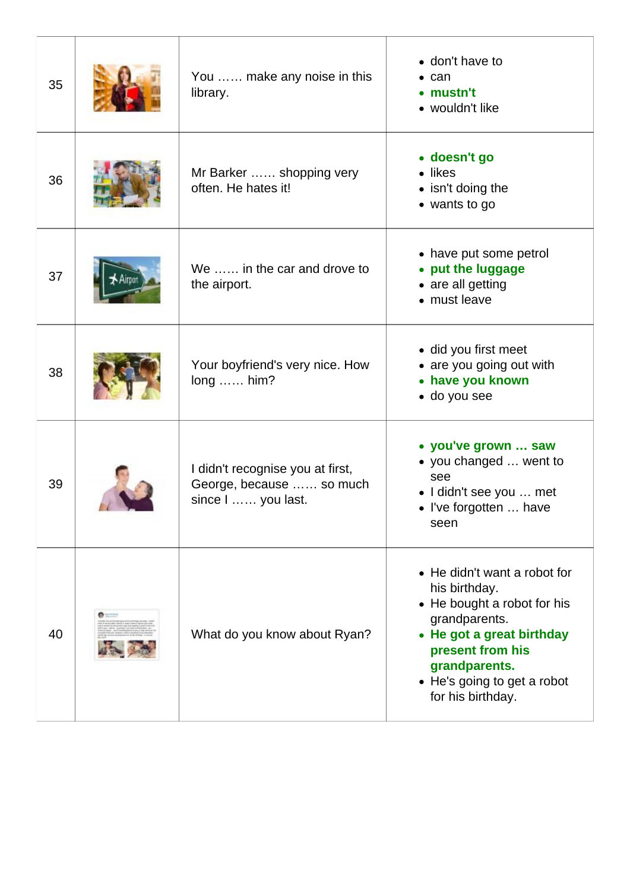| 35 | You  make any noise in this<br>library.                                            | • don't have to<br>can<br>• mustn't<br>• wouldn't like                                                                                                                                                            |
|----|------------------------------------------------------------------------------------|-------------------------------------------------------------------------------------------------------------------------------------------------------------------------------------------------------------------|
| 36 | Mr Barker  shopping very<br>often. He hates it!                                    | • doesn't go<br>• likes<br>• isn't doing the<br>• wants to go                                                                                                                                                     |
| 37 | We  in the car and drove to<br>the airport.                                        | • have put some petrol<br>put the luggage<br>$\bullet$<br>• are all getting<br>• must leave                                                                                                                       |
| 38 | Your boyfriend's very nice. How<br>long  him?                                      | • did you first meet<br>• are you going out with<br>• have you known<br>· do you see                                                                                                                              |
| 39 | I didn't recognise you at first,<br>George, because  so much<br>since I  you last. | • you've grown  saw<br>• you changed  went to<br>see<br>• I didn't see you  met<br>• I've forgotten  have<br>seen                                                                                                 |
| 40 | What do you know about Ryan?                                                       | • He didn't want a robot for<br>his birthday.<br>• He bought a robot for his<br>grandparents.<br>He got a great birthday<br>present from his<br>grandparents.<br>• He's going to get a robot<br>for his birthday. |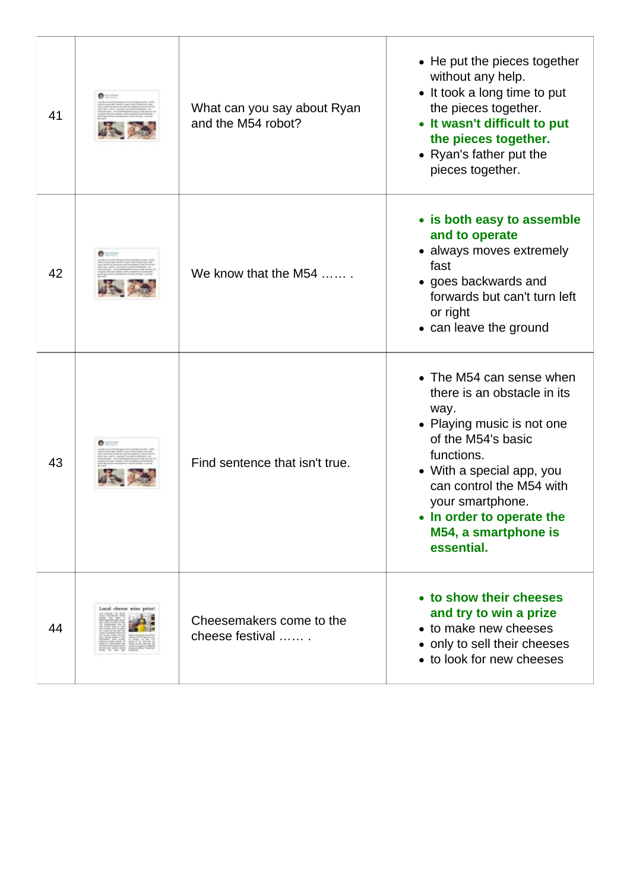| 41 |                          | What can you say about Ryan<br>and the M54 robot? | • He put the pieces together<br>without any help.<br>• It took a long time to put<br>the pieces together.<br>• It wasn't difficult to put<br>the pieces together.<br>• Ryan's father put the<br>pieces together.                                                                  |
|----|--------------------------|---------------------------------------------------|-----------------------------------------------------------------------------------------------------------------------------------------------------------------------------------------------------------------------------------------------------------------------------------|
| 42 |                          | We know that the M54                              | • is both easy to assemble<br>and to operate<br>• always moves extremely<br>fast<br>• goes backwards and<br>forwards but can't turn left<br>or right<br>• can leave the ground                                                                                                    |
| 43 |                          | Find sentence that isn't true.                    | • The M54 can sense when<br>there is an obstacle in its<br>way.<br>• Playing music is not one<br>of the M54's basic<br>functions.<br>• With a special app, you<br>can control the M54 with<br>your smartphone.<br>• In order to operate the<br>M54, a smartphone is<br>essential. |
| 44 | Local cheese wins prize! | Cheesemakers come to the<br>cheese festival       | • to show their cheeses<br>and try to win a prize<br>• to make new cheeses<br>• only to sell their cheeses<br>• to look for new cheeses                                                                                                                                           |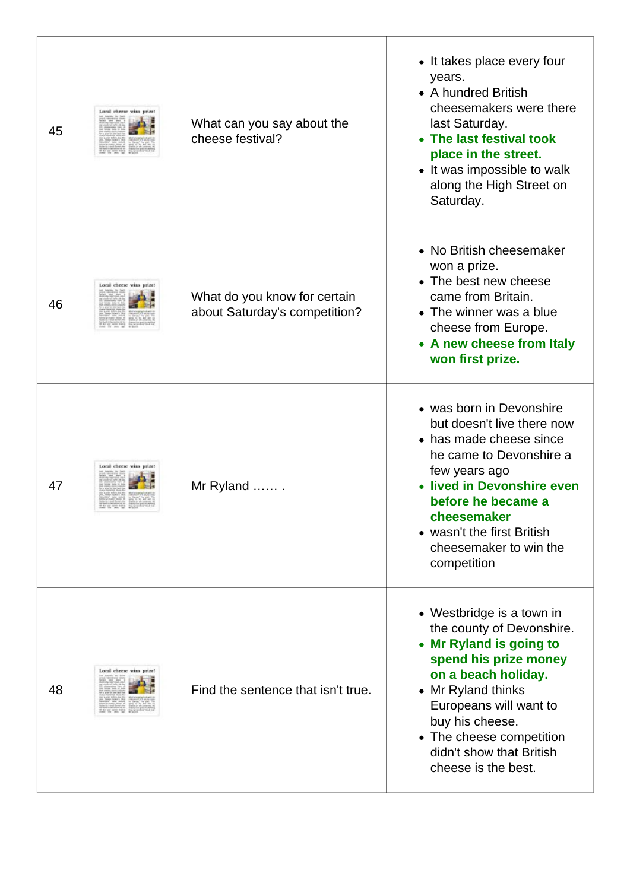| 45 | Local cheese wins prize! | What can you say about the<br>cheese festival?                | • It takes place every four<br>years.<br>• A hundred British<br>cheesemakers were there<br>last Saturday.<br>• The last festival took<br>place in the street.<br>• It was impossible to walk<br>along the High Street on<br>Saturday.                                               |
|----|--------------------------|---------------------------------------------------------------|-------------------------------------------------------------------------------------------------------------------------------------------------------------------------------------------------------------------------------------------------------------------------------------|
| 46 | Local cheese wins prize! | What do you know for certain<br>about Saturday's competition? | • No British cheesemaker<br>won a prize.<br>• The best new cheese<br>came from Britain.<br>• The winner was a blue<br>cheese from Europe.<br>• A new cheese from Italy<br>won first prize.                                                                                          |
| 47 | Local cheese wins prize! | Mr Ryland                                                     | • was born in Devonshire<br>but doesn't live there now<br>• has made cheese since<br>he came to Devonshire a<br>few years ago<br>• lived in Devonshire even<br>before he became a<br>cheesemaker<br>• wasn't the first British<br>cheesemaker to win the<br>competition             |
| 48 | Local cheese wins prize! | Find the sentence that isn't true.                            | • Westbridge is a town in<br>the county of Devonshire.<br>• Mr Ryland is going to<br>spend his prize money<br>on a beach holiday.<br>• Mr Ryland thinks<br>Europeans will want to<br>buy his cheese.<br>• The cheese competition<br>didn't show that British<br>cheese is the best. |